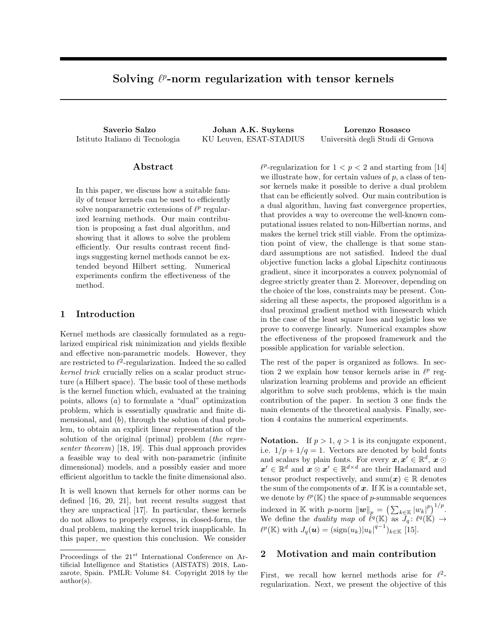# Solving  $\ell^p$ -norm regularization with tensor kernels

Istituto Italiano di Tecnologia KU Leuven, ESAT-STADIUS Università degli Studi di Genova

Saverio Salzo Johan A.K. Suykens Lorenzo Rosasco

### Abstract

In this paper, we discuss how a suitable family of tensor kernels can be used to efficiently solve nonparametric extensions of  $\ell^p$  regularized learning methods. Our main contribution is proposing a fast dual algorithm, and showing that it allows to solve the problem efficiently. Our results contrast recent findings suggesting kernel methods cannot be extended beyond Hilbert setting. Numerical experiments confirm the effectiveness of the method.

### 1 Introduction

Kernel methods are classically formulated as a regularized empirical risk minimization and yields flexible and effective non-parametric models. However, they are restricted to  $\ell^2$ -regularization. Indeed the so called *kernel trick* crucially relies on a scalar product structure (a Hilbert space). The basic tool of these methods is the kernel function which, evaluated at the training points, allows (*a*) to formulate a "dual" optimization problem, which is essentially quadratic and finite dimensional, and (*b*), through the solution of dual problem, to obtain an explicit linear representation of the solution of the original (primal) problem (*the representer theorem*) [18, 19]. This dual approach provides a feasible way to deal with non-parametric (infinite dimensional) models, and a possibly easier and more efficient algorithm to tackle the finite dimensional also.

It is well known that kernels for other norms can be defined [16, 20, 21], but recent results suggest that they are unpractical [17]. In particular, these kernels do not allows to properly express, in closed-form, the dual problem, making the kernel trick inapplicable. In this paper, we question this conclusion. We consider

 $\ell^p$ -regularization for  $1 < p < 2$  and starting from [14] we illustrate how, for certain values of *p*, a class of tensor kernels make it possible to derive a dual problem that can be efficiently solved. Our main contribution is a dual algorithm, having fast convergence properties, that provides a way to overcome the well-known computational issues related to non-Hilbertian norms, and makes the kernel trick still viable. From the optimization point of view, the challenge is that some standard assumptions are not satisfied. Indeed the dual objective function lacks a global Lipschitz continuous gradient, since it incorporates a convex polynomial of degree strictly greater than 2. Moreover, depending on the choice of the loss, constraints may be present. Considering all these aspects, the proposed algorithm is a dual proximal gradient method with linesearch which in the case of the least square loss and logistic loss we prove to converge linearly. Numerical examples show the effectiveness of the proposed framework and the possible application for variable selection.

The rest of the paper is organized as follows. In section 2 we explain how tensor kernels arise in  $\ell^p$  regularization learning problems and provide an efficient algorithm to solve such problems, which is the main contribution of the paper. In section 3 one finds the main elements of the theoretical analysis. Finally, section 4 contains the numerical experiments.

Notation. If  $p > 1$ ,  $q > 1$  is its conjugate exponent, i.e.  $1/p + 1/q = 1$ . Vectors are denoted by bold fonts and scalars by plain fonts. For every  $x, x' \in \mathbb{R}^d$ ,  $x \odot$  $x' \in \mathbb{R}^d$  and  $x \otimes x' \in \mathbb{R}^{d \times d}$  are their Hadamard and tensor product respectively, and  $\text{sum}(\boldsymbol{x}) \in \mathbb{R}$  denotes the sum of the components of  $x$ . If  $K$  is a countable set, we denote by  $\ell^p(\mathbb{K})$  the space of *p*-summable sequences indexed in K with *p*-norm  $\|\mathbf{w}\|_p = \left(\sum_{k \in \mathbb{K}} |w_k|^p\right)^{1/p}$ . We define the *duality map* of  $\ell^q(\mathbb{K})$  as  $J_q: \ell^q(\mathbb{K}) \to$  $\ell^p(\mathbb{K})$  with  $J_q(\mathbf{u}) = (\text{sign}(u_k)|u_k|^{q-1})_{k \in \mathbb{K}}$  [15].

# 2 Motivation and main contribution

First, we recall how kernel methods arise for  $\ell^2$ regularization. Next, we present the objective of this

Proceedings of the 21*st* International Conference on Artificial Intelligence and Statistics (AISTATS) 2018, Lanzarote, Spain. PMLR: Volume 84. Copyright 2018 by the author(s).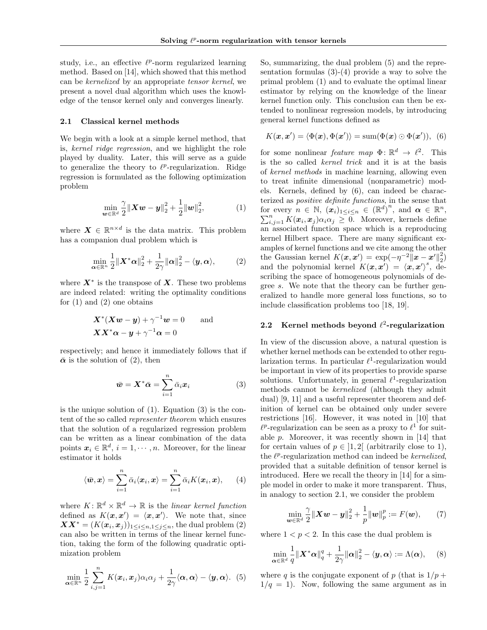study, i.e., an effective  $\ell^p$ -norm regularized learning method. Based on [14], which showed that this method can be *kernelized* by an appropriate *tensor kernel*, we present a novel dual algorithm which uses the knowledge of the tensor kernel only and converges linearly.

#### 2.1 Classical kernel methods

We begin with a look at a simple kernel method, that is, *kernel ridge regression*, and we highlight the role played by duality. Later, this will serve as a guide to generalize the theory to  $\ell^p$ -regularization. Ridge regression is formulated as the following optimization problem

$$
\min_{\bm{w}\in\mathbb{R}^d} \frac{\gamma}{2} \|\bm{X}\bm{w} - \bm{y}\|_2^2 + \frac{1}{2} \|\bm{w}\|_2^2, \tag{1}
$$

where  $\mathbf{X} \in \mathbb{R}^{n \times d}$  is the data matrix. This problem has a companion dual problem which is

$$
\min_{\boldsymbol{\alpha} \in \mathbb{R}^n} \frac{1}{2} ||\boldsymbol{X}^* \boldsymbol{\alpha}||_2^2 + \frac{1}{2\gamma} ||\boldsymbol{\alpha}||_2^2 - \langle \boldsymbol{y}, \boldsymbol{\alpha} \rangle, \tag{2}
$$

where  $X^*$  is the transpose of X. These two problems are indeed related: writing the optimality conditions for  $(1)$  and  $(2)$  one obtains

$$
\mathbf{X}^*(\mathbf{X}\mathbf{w} - \mathbf{y}) + \gamma^{-1}\mathbf{w} = 0 \quad \text{and} \\ \mathbf{X}\mathbf{X}^*\alpha - \mathbf{y} + \gamma^{-1}\alpha = 0
$$

respectively; and hence it immediately follows that if  $\bar{\boldsymbol{\alpha}}$  is the solution of (2), then

$$
\bar{\boldsymbol{w}} = \boldsymbol{X}^* \bar{\boldsymbol{\alpha}} = \sum_{i=1}^n \bar{\alpha}_i \boldsymbol{x}_i \tag{3}
$$

is the unique solution of  $(1)$ . Equation  $(3)$  is the content of the so called *representer theorem* which ensures that the solution of a regularized regression problem can be written as a linear combination of the data points  $x_i \in \mathbb{R}^d$ ,  $i = 1, \dots, n$ . Moreover, for the linear estimator it holds

$$
\langle \bar{\boldsymbol{w}}, \boldsymbol{x} \rangle = \sum_{i=1}^n \bar{\alpha}_i \langle \boldsymbol{x}_i, \boldsymbol{x} \rangle = \sum_{i=1}^n \bar{\alpha}_i K(\boldsymbol{x}_i, \boldsymbol{x}), \qquad (4)
$$

where  $K: \mathbb{R}^d \times \mathbb{R}^d \to \mathbb{R}$  is the *linear kernel function* defined as  $K(\mathbf{x}, \mathbf{x}') = \langle \mathbf{x}, \mathbf{x}' \rangle$ . We note that, since  $\boldsymbol{X} \boldsymbol{X}^* = (K(\boldsymbol{x}_i, \boldsymbol{x}_j))_{1 \leq i \leq n, 1 \leq j \leq n}$ , the dual problem (2) can also be written in terms of the linear kernel function, taking the form of the following quadratic optimization problem

$$
\min_{\boldsymbol{\alpha} \in \mathbb{R}^n} \frac{1}{2} \sum_{i,j=1}^n K(\boldsymbol{x}_i, \boldsymbol{x}_j) \alpha_i \alpha_j + \frac{1}{2\gamma} \langle \boldsymbol{\alpha}, \boldsymbol{\alpha} \rangle - \langle \boldsymbol{y}, \boldsymbol{\alpha} \rangle. \tag{5}
$$

So, summarizing, the dual problem (5) and the representation formulas  $(3)-(4)$  provide a way to solve the primal problem (1) and to evaluate the optimal linear estimator by relying on the knowledge of the linear kernel function only. This conclusion can then be extended to nonlinear regression models, by introducing general kernel functions defined as

$$
K(\boldsymbol{x}, \boldsymbol{x}') = \langle \Phi(\boldsymbol{x}), \Phi(\boldsymbol{x}') \rangle = \operatorname{sum}(\Phi(\boldsymbol{x}) \odot \Phi(\boldsymbol{x}')), \tag{6}
$$

for some nonlinear *feature map*  $\Phi: \mathbb{R}^d \to \ell^2$ . This is the so called *kernel trick* and it is at the basis of *kernel methods* in machine learning, allowing even to treat infinite dimensional (nonparametric) models. Kernels, defined by (6), can indeed be characterized as *positive definite functions*, in the sense that for every  $n \in \mathbb{N}$ ,  $(\mathbf{x}_i)_{1 \leq i \leq n} \in (\mathbb{R}^d)^n$ , and  $\alpha \in \mathbb{R}^n$  $\text{for every } n \in \mathbb{N}, \ (\boldsymbol{x}_i)_{1 \leq i \leq n} \in (\mathbb{R}^d)^n, \text{ and } \boldsymbol{\alpha} \in \mathbb{R}^n, \\ \sum_{i,j=1}^n K(\boldsymbol{x}_i, \boldsymbol{x}_j) \alpha_i \alpha_j \geq 0. \text{ Moreover, kernels define}$ an associated function space which is a reproducing kernel Hilbert space. There are many significant examples of kernel functions and we cite among the other the Gaussian kernel  $K(\mathbf{x}, \mathbf{x}') = \exp(-\eta^{-2} ||\mathbf{x} - \mathbf{x}'||_2^2)$ and the polynomial kernel  $K(x, x') = \langle x, x' \rangle^s$ , describing the space of homogeneous polynomials of degree *s*. We note that the theory can be further generalized to handle more general loss functions, so to include classification problems too [18, 19].

#### 2.2 Kernel methods beyond  $\ell^2$ -regularization

In view of the discussion above, a natural question is whether kernel methods can be extended to other regularization terms. In particular  $\ell^1$ -regularization would be important in view of its properties to provide sparse solutions. Unfortunately, in general  $\ell^1$ -regularization methods cannot be *kernelized* (although they admit dual) [9, 11] and a useful representer theorem and definition of kernel can be obtained only under severe restrictions [16]. However, it was noted in [10] that  $\ell^p$ -regularization can be seen as a proxy to  $\ell^1$  for suitable *p*. Moreover, it was recently shown in [14] that for certain values of  $p \in [1,2]$  (arbitrarily close to 1), the  $\ell^p$ -regularization method can indeed be *kernelized*, provided that a suitable definition of tensor kernel is introduced. Here we recall the theory in [14] for a simple model in order to make it more transparent. Thus, in analogy to section 2.1, we consider the problem

$$
\min_{\bm{w}\in\mathbb{R}^d} \frac{\gamma}{2} \|\bm{X}\bm{w} - \bm{y}\|_2^2 + \frac{1}{p} \|\bm{w}\|_p^p := F(\bm{w}),\qquad(7)
$$

where  $1 < p < 2$ . In this case the dual problem is

$$
\min_{\alpha \in \mathbb{R}^d} \frac{1}{q} \|\mathbf{X}^* \alpha\|_q^q + \frac{1}{2\gamma} \|\alpha\|_2^2 - \langle \mathbf{y}, \alpha \rangle := \Lambda(\alpha), \quad (8)
$$

where *q* is the conjugate exponent of *p* (that is  $1/p +$  $1/q = 1$ ). Now, following the same argument as in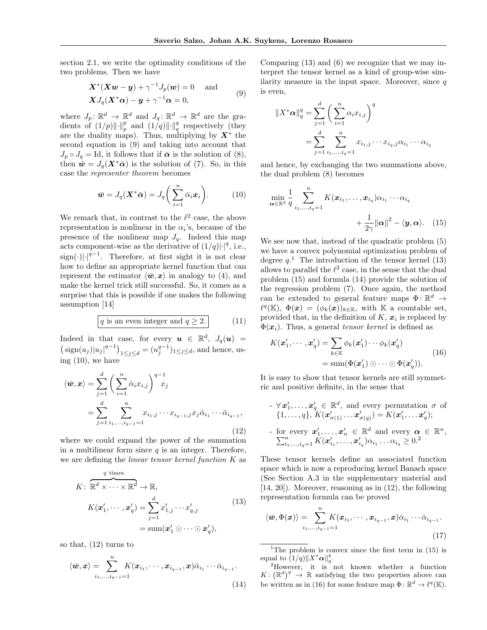section 2.1, we write the optimality conditions of the two problems. Then we have

$$
\mathbf{X}^*(\mathbf{X}\mathbf{w} - \mathbf{y}) + \gamma^{-1}J_p(\mathbf{w}) = 0 \quad \text{and} \quad (9)
$$
  

$$
\mathbf{X}J_q(\mathbf{X}^*\alpha) - \mathbf{y} + \gamma^{-1}\alpha = 0,
$$

where  $J_p: \mathbb{R}^d \to \mathbb{R}^d$  and  $J_q: \mathbb{R}^d \to \mathbb{R}^d$  are the gradients of  $(1/p)\|\cdot\|_p^p$  and  $(1/q)\|\cdot\|_q^q$  respectively (they are the duality maps). Thus, multiplying by  $X^*$  the second equation in (9) and taking into account that  $J_p \circ J_q = \text{Id}$ , it follows that if  $\bar{\alpha}$  is the solution of (8), then  $\bar{\mathbf{w}} = J_q(\mathbf{X}^*\bar{\mathbf{\alpha}})$  is the solution of (7). So, in this case the *representer theorem* becomes

$$
\bar{\boldsymbol{w}} = J_q(\boldsymbol{X}^*\bar{\boldsymbol{\alpha}}) = J_q\bigg(\sum_{i=1}^n \bar{\alpha}_i \boldsymbol{x}_i\bigg). \qquad (10)
$$

We remark that, in contrast to the  $\ell^2$  case, the above representation is nonlinear in the  $\alpha_i$ 's, because of the presence of the nonlinear map  $J_q$ . Indeed this map acts component-wise as the derivative of  $(1/q)|\cdot|^q$ , i.e.,  $\text{sign}(\cdot)|^{q-1}$ . Therefore, at first sight it is not clear how to define an appropriate kernel function that can represent the estimator  $\langle \bar{w}, x \rangle$  in analogy to (4), and make the kernel trick still successful. So, it comes as a surprise that this is possible if one makes the following assumption [14]

$$
q \text{ is an even integer and } q \ge 2. \tag{11}
$$

Indeed in that case, for every  $u \in \mathbb{R}^d$ ,  $J_q(u)$  =  $\left(\text{sign}(u_j)|u_j|^{q-1}\right)_{1 \leq j \leq d} = (u_j^{q-1})_{1 \leq j \leq d}$ , and hence, using (10), we have

$$
\langle \bar{w}, x \rangle = \sum_{j=1}^{d} \left( \sum_{i=1}^{n} \bar{\alpha}_{i} x_{i,j} \right)^{q-1} x_{j}
$$
  
= 
$$
\sum_{j=1}^{d} \sum_{i_{1}, \dots, i_{q-1}=1}^{n} x_{i_{1},j} \cdots x_{i_{q-1},j} x_{j} \bar{\alpha}_{i_{1}} \cdots \bar{\alpha}_{i_{q-1}},
$$
(12)

where we could expand the power of the summation in a multilinear form since  $q$  is an integer. Therefore, we are defining the *linear tensor kernel function K* as

$$
K: \overbrace{\mathbb{R}^d \times \cdots \times \mathbb{R}^d}^q \to \mathbb{R},
$$
  
\n
$$
K(\mathbf{x}'_1, \cdots, \mathbf{x}'_q) = \sum_{j=1}^d x'_{1,j} \cdots x'_{q,j}
$$
  
\n
$$
= \text{sum}(\mathbf{x}'_1 \odot \cdots \odot \mathbf{x}'_q),
$$
  
\n(13)

so that, (12) turns to

$$
\langle \bar{\boldsymbol{w}}, \boldsymbol{x} \rangle = \sum_{i_1, \dots, i_{q-1}=1}^n K(\boldsymbol{x}_{i_1}, \cdots, \boldsymbol{x}_{i_{q-1}}, \boldsymbol{x}) \bar{\alpha}_{i_1} \cdots \bar{\alpha}_{i_{q-1}}.
$$
\n(14)

Comparing (13) and (6) we recognize that we may interpret the tensor kernel as a kind of group-wise similarity measure in the input space. Moreover, since *q* is even,

$$
||X^*\alpha||_q^q = \sum_{j=1}^d \left(\sum_{i=1}^n \alpha_i x_{i,j}\right)^q
$$
  
= 
$$
\sum_{j=1}^d \sum_{i_1,\dots,i_q=1}^n x_{i_1,j} \cdots x_{i_q,j} \alpha_{i_1} \cdots \alpha_{i_q}
$$

and hence, by exchanging the two summations above, the dual problem (8) becomes

$$
\min_{\mathbf{\alpha} \in \mathbb{R}^d} \frac{1}{q} \sum_{i_1, \dots, i_q=1}^n K(\boldsymbol{x}_{i_1}, \dots, \boldsymbol{x}_{i_q}) \alpha_{i_1} \cdots \alpha_{i_q} + \frac{1}{2\gamma} ||\mathbf{\alpha}||^2 - \langle \mathbf{y}, \mathbf{\alpha} \rangle. \tag{15}
$$

We see now that, instead of the quadratic problem (5) we have a convex polynomial optimization problem of degree  $q$ <sup>1</sup>. The introduction of the tensor kernel (13) allows to parallel the  $\ell^2$  case, in the sense that the dual problem (15) and formula (14) provide the solution of the regression problem (7). Once again, the method can be extended to general feature maps  $\Phi: \mathbb{R}^d \to$  $\ell^q(\mathbb{K}), \Phi(\boldsymbol{x})=(\phi_k(\boldsymbol{x}))_{k\in\mathbb{K}}, \text{ with } \mathbb{K} \text{ a countable set},$ provided that, in the definition of  $K$ ,  $x_i$  is replaced by  $\Phi(\mathbf{x}_i)$ . Thus, a general *tensor kernel* is defined as

$$
K(\mathbf{x}'_1, \cdots, \mathbf{x}'_q) = \sum_{k \in \mathbb{K}} \phi_k(\mathbf{x}'_1) \cdots \phi_k(\mathbf{x}'_q)
$$
  
= sum( $\Phi(\mathbf{x}'_1) \odot \cdots \odot \Phi(\mathbf{x}'_q)$ ). (16)

It is easy to show that tensor kernels are still symmetric and positive definite, in the sense that

- 
$$
\forall
$$
  $\mathbf{x}'_1, \dots, \mathbf{x}'_q \in \mathbb{R}^d$ , and every permutation  $\sigma$  of   
{1, ..., q},  $K(\mathbf{x}'_{\sigma(1)} \dots \mathbf{x}'_{\sigma(q)}) = K(\mathbf{x}'_1, \dots \mathbf{x}'_q)$ ;

- for every 
$$
\boldsymbol{x}'_1, \ldots, \boldsymbol{x}'_n \in \mathbb{R}^d
$$
 and every  $\boldsymbol{\alpha} \in \mathbb{R}^n$ ,  
 $\sum_{i_1,\ldots,i_q=1}^n K(\boldsymbol{x}'_{i_1},\ldots,\boldsymbol{x}'_{i_q}) \alpha_{i_1} \ldots \alpha_{i_q} \geq 0$ .<sup>2</sup>

These tensor kernels define an associated function space which is now a reproducing kernel Banach space (See Section A.3 in the supplementary material and [14, 20]). Moreover, reasoning as in (12), the following representation formula can be proved

$$
\langle \bar{\boldsymbol{w}}, \Phi(\boldsymbol{x}) \rangle = \sum_{i_1, \dots, i_{q-1}=1}^n K(\boldsymbol{x}_{i_1}, \cdots, \boldsymbol{x}_{i_{q-1}}, \boldsymbol{x}) \bar{\alpha}_{i_1} \cdots \bar{\alpha}_{i_{q-1}}.
$$
\n(17)

<sup>1</sup>The problem is convex since the first term in  $(15)$  is equal to  $(1/q)$   $||X^*\alpha||_q^q$ .

<sup>2</sup>However, it is not known whether a function  $K: (\mathbb{R}^d)^q \to \mathbb{R}$  satisfying the two properties above can be written as in (16) for some feature map  $\Phi: \mathbb{R}^d \to \ell^q(\mathbb{K})$ .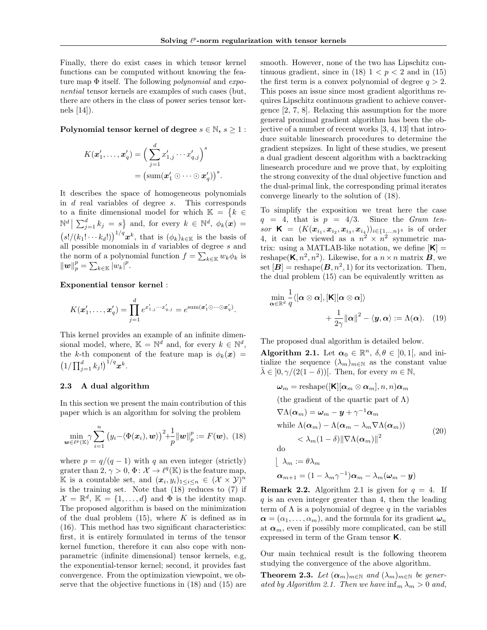Finally, there do exist cases in which tensor kernel functions can be computed without knowing the feature map  $\Phi$  itself. The following *polynomial* and *exponential* tensor kernels are examples of such cases (but, there are others in the class of power series tensor kernels [14]).

Polynomial tensor kernel of degree  $s \in \mathbb{N}, s \geq 1$ :

$$
K(\boldsymbol{x}'_1,\ldots,\boldsymbol{x}'_q) = \Big(\sum_{j=1}^d x'_{1,j}\cdots x'_{q,j}\Big)^s
$$
  
=  $(\text{sum}(\boldsymbol{x}'_1\odot\cdots\odot\boldsymbol{x}'_q))^s$ .

It describes the space of homogeneous polynomials in *d* real variables of degree *s*. This corresponds to a finite dimensional model for which  $\mathbb{K} = \{k \in \mathbb{K} : |k| \leq k \}$  $\mathbb{N}^d \mid \sum_{j=1}^d k_j = s$  and, for every  $k \in \mathbb{N}^d$ ,  $\phi_k(\boldsymbol{x}) =$  $(s!/(k_1! \cdots k_d!) )^{1/q}$ *x*<sup>*k*</sup>, that is  $(\phi_k)_{k \in \mathbb{K}}$  is the basis of all possible monomials in *d* variables of degree *s* and the norm of a polynomial function  $f = \sum_{k \in \mathbb{K}} w_k \phi_k$  is  $||w||_p^p = \sum_{k \in \mathbb{K}} |w_k|^p.$ 

Exponential tensor kernel :

$$
K(\boldsymbol{x}'_1,\ldots,\boldsymbol{x}'_q)=\prod_{j=1}^d e^{x'_{1,j}\cdots x'_{q,j}}=e^{\operatorname{sum}(\boldsymbol{x}'_1\odot\cdots\odot\boldsymbol{x}'_q)}.
$$

This kernel provides an example of an infinite dimensional model, where,  $\mathbb{K} = \mathbb{N}^d$  and, for every  $k \in \mathbb{N}^d$ , the *k*-th component of the feature map is  $\phi_k(x)$  =  $(1/\prod_{j=1}^{d}k_j!)^{1/q}x^k$ .

#### 2.3 A dual algorithm

In this section we present the main contribution of this paper which is an algorithm for solving the problem

$$
\min_{\boldsymbol{w}\in\ell^p(\mathbb{K})}\gamma\sum_{i=1}^n\big(y_i-\langle\Phi(\boldsymbol{x}_i),\boldsymbol{w}\rangle\big)^2+\frac{1}{p}\|\boldsymbol{w}\|_p^p:=F(\boldsymbol{w}),\,\,(18)
$$

where  $p = q/(q-1)$  with q an even integer (strictly) grater than 2,  $\gamma > 0$ ,  $\Phi: \mathcal{X} \to \ell^q(\mathbb{K})$  is the feature map, K is a countable set, and  $(\boldsymbol{x}_i, y_i)_{1 \leq i \leq n} \in (\mathcal{X} \times \mathcal{Y})^n$ is the training set. Note that (18) reduces to (7) if  $\mathcal{X} = \mathbb{R}^d$ ,  $\mathbb{K} = \{1, ..., d\}$  and  $\Phi$  is the identity map. The proposed algorithm is based on the minimization of the dual problem (15), where *K* is defined as in (16). This method has two significant characteristics: first, it is entirely formulated in terms of the tensor kernel function, therefore it can also cope with nonparametric (infinite dimensional) tensor kernels, e.g, the exponential-tensor kernel; second, it provides fast convergence. From the optimization viewpoint, we observe that the objective functions in (18) and (15) are

smooth. However, none of the two has Lipschitz continuous gradient, since in (18)  $1 < p < 2$  and in (15) the first term is a convex polynomial of degree  $q > 2$ . This poses an issue since most gradient algorithms requires Lipschitz continuous gradient to achieve convergence [2, 7, 8]. Relaxing this assumption for the more general proximal gradient algorithm has been the objective of a number of recent works [3, 4, 13] that introduce suitable linesearch procedures to determine the gradient stepsizes. In light of these studies, we present a dual gradient descent algorithm with a backtracking linesearch procedure and we prove that, by exploiting the strong convexity of the dual objective function and the dual-primal link, the corresponding primal iterates converge linearly to the solution of (18).

To simplify the exposition we treat here the case  $q = 4$ , that is  $p = 4/3$ . Since the *Gram ten* $sor$  **K** =  $(K(\boldsymbol{x}_{i_1}, \boldsymbol{x}_{i_2}, \boldsymbol{x}_{i_3}, \boldsymbol{x}_{i_4}))_{i \in \{1, \ldots n\}^4}$  is of order 4, it can be viewed as a  $n^2 \times n^2$  symmetric matrix: using a MATLAB-like notation, we define  $|K| =$ reshape( $\mathsf{K}, n^2, n^2$ ). Likewise, for a  $n \times n$  matrix *B*, we set  $[\mathbf{B}]$  = reshape $(\mathbf{B}, n^2, 1)$  for its vectorization. Then, the dual problem (15) can be equivalently written as

$$
\min_{\mathbf{\alpha} \in \mathbb{R}^d} \frac{1}{q} \langle [\mathbf{\alpha} \otimes \mathbf{\alpha}], [\mathbf{K}][\mathbf{\alpha} \otimes \mathbf{\alpha}] \rangle + \frac{1}{2\gamma} ||\mathbf{\alpha}||^2 - \langle \mathbf{y}, \mathbf{\alpha} \rangle := \Lambda(\mathbf{\alpha}). \quad (19)
$$

The proposed dual algorithm is detailed below.

Algorithm 2.1. Let  $\alpha_0 \in \mathbb{R}^n$ ,  $\delta, \theta \in ]0,1[$ , and initialize the sequence  $(\lambda_m)_{m \in \mathbb{N}}$  as the constant value  $\lambda \in [0, \gamma/(2(1-\delta))]$ . Then, for every  $m \in \mathbb{N}$ ,

$$
\omega_m = \text{reshape}([\mathbf{K}][\boldsymbol{\alpha}_m \otimes \boldsymbol{\alpha}_m], n, n)\boldsymbol{\alpha}_m
$$
  
(the gradient of the quartic part of  $\Lambda$ )  

$$
\nabla \Lambda(\boldsymbol{\alpha}_m) = \omega_m - \mathbf{y} + \gamma^{-1} \boldsymbol{\alpha}_m
$$
  
while  $\Lambda(\boldsymbol{\alpha}_m) - \Lambda(\boldsymbol{\alpha}_m - \lambda_m \nabla \Lambda(\boldsymbol{\alpha}_m))$   
 $< \lambda_m (1 - \delta) ||\nabla \Lambda(\boldsymbol{\alpha}_m)||^2$   
do  

$$
\begin{aligned}\n&\lambda_m := \theta \lambda_m \\
&\boldsymbol{\alpha}_{m+1} = (1 - \lambda_m \gamma^{-1}) \boldsymbol{\alpha}_m - \lambda_m (\boldsymbol{\omega}_m - \mathbf{y})\n\end{aligned}
$$
(20)

**Remark 2.2.** Algorithm 2.1 is given for  $q = 4$ . If *q* is an even integer greater than 4, then the leading term of  $\Lambda$  is a polynomial of degree q in the variables  $\alpha = (\alpha_1, \ldots, \alpha_m)$ , and the formula for its gradient  $\omega_n$ at  $\alpha_m$ , even if possibly more complicated, can be still expressed in term of the Gram tensor K.

Our main technical result is the following theorem studying the convergence of the above algorithm.

**Theorem 2.3.** Let  $(\alpha_m)_{m \in \mathbb{N}}$  and  $(\lambda_m)_{m \in \mathbb{N}}$  be gener*ated by Algorithm 2.1. Then we have*  $\inf_{m} \lambda_m > 0$  *and,*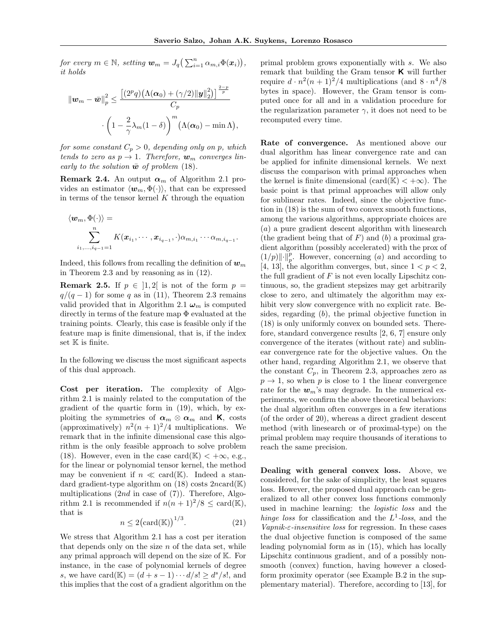*for every*  $m \in \mathbb{N}$ *, setting*  $\boldsymbol{w}_m = J_q\left(\sum_{i=1}^n \alpha_{m,i} \Phi(\boldsymbol{x}_i)\right)$ *, it holds*

$$
\|\boldsymbol{w}_m - \bar{\boldsymbol{w}}\|_p^2 \le \frac{\left[ (2^p q) \big( \Lambda(\boldsymbol{\alpha}_0) + (\gamma/2) ||\boldsymbol{y}||_2^2 \big) \right]^{\frac{2-p}{p}}}{C_p} \cdot \left( 1 - \frac{2}{\gamma} \lambda_m (1 - \delta) \right)^m \left( \Lambda(\boldsymbol{\alpha}_0) - \min \Lambda \right),
$$

*for some constant*  $C_p > 0$ *, depending only on p, which tends to zero as*  $p \rightarrow 1$ *. Therefore,*  $w_m$  *converges linearly to the solution*  $\bar{w}$  *of problem* (18)*.* 

**Remark 2.4.** An output  $\alpha_m$  of Algorithm 2.1 provides an estimator  $\langle w_m, \Phi(\cdot) \rangle$ , that can be expressed in terms of the tensor kernel *K* through the equation

$$
\langle w_m, \Phi(\cdot) \rangle =
$$
  

$$
\sum_{i_1, \dots, i_{q-1}=1}^n K(x_{i_1}, \dots, x_{i_{q-1}}, \cdot) \alpha_{m, i_1} \dots \alpha_{m, i_{q-1}}.
$$

Indeed, this follows from recalling the definition of  $w_m$ in Theorem 2.3 and by reasoning as in (12).

**Remark 2.5.** If  $p \in [1, 2]$  is not of the form  $p =$  $q/(q-1)$  for some *q* as in (11), Theorem 2.3 remains valid provided that in Algorithm 2.1  $\omega_m$  is computed directly in terms of the feature map  $\Phi$  evaluated at the training points. Clearly, this case is feasible only if the feature map is finite dimensional, that is, if the index set  $K$  is finite.

In the following we discuss the most significant aspects of this dual approach.

Cost per iteration. The complexity of Algorithm 2.1 is mainly related to the computation of the gradient of the quartic form in (19), which, by exploiting the symmetries of  $\alpha_m \otimes \alpha_m$  and **K**, costs (approximatively)  $n^2(n+1)^2/4$  multiplications. We remark that in the infinite dimensional case this algorithm is the only feasible approach to solve problem (18). However, even in the case card( $\mathbb{K}$ ) < + $\infty$ , e.g., for the linear or polynomial tensor kernel, the method may be convenient if  $n \ll \text{card}(\mathbb{K})$ . Indeed a standard gradient-type algorithm on (18) costs 2*n*card(K) multiplications (2*nd* in case of (7)). Therefore, Algorithm 2.1 is recommended if  $n(n+1)^2/8 \leq \text{card}(\mathbb{K}),$ that is <sup>1</sup>*/*<sup>3</sup>

$$
n \le 2\left(\text{card}(\mathbb{K})\right)^{1/3}.\tag{21}
$$

We stress that Algorithm 2.1 has a cost per iteration that depends only on the size *n* of the data set, while any primal approach will depend on the size of K. For instance, in the case of polynomial kernels of degree *s*, we have card( $\mathbb{K}$ ) =  $(d + s - 1) \cdots d/s! > d^{s}/s!$ , and this implies that the cost of a gradient algorithm on the primal problem grows exponentially with *s*. We also remark that building the Gram tensor  $K$  will further require  $d \cdot n^2(n+1)^2/4$  multiplications (and  $8 \cdot n^4/8$ bytes in space). However, the Gram tensor is computed once for all and in a validation procedure for the regularization parameter  $\gamma$ , it does not need to be recomputed every time.

Rate of convergence. As mentioned above our dual algorithm has linear convergence rate and can be applied for infinite dimensional kernels. We next discuss the comparison with primal approaches when the kernel is finite dimensional  $(\text{card}(\mathbb{K}) < +\infty)$ . The basic point is that primal approaches will allow only for sublinear rates. Indeed, since the objective function in (18) is the sum of two convex smooth functions, among the various algorithms, appropriate choices are (*a*) a pure gradient descent algorithm with linesearch (the gradient being that of  $F$ ) and  $(b)$  a proximal gradient algorithm (possibly accelerated) with the prox of  $(1/p)\|\cdot\|_p^p$ . However, concerning (*a*) and according to [4, 13], the algorithm converges, but, since  $1 < p < 2$ , the full gradient of *F* is not even locally Lipschitz continuous, so, the gradient stepsizes may get arbitrarily close to zero, and ultimately the algorithm may exhibit very slow convergence with no explicit rate. Besides, regarding (*b*), the primal objective function in (18) is only uniformly convex on bounded sets. Therefore, standard convergence results [2, 6, 7] ensure only convergence of the iterates (without rate) and sublinear convergence rate for the objective values. On the other hand, regarding Algorithm 2.1, we observe that the constant  $C_p$ , in Theorem 2.3, approaches zero as  $p \rightarrow 1$ , so when *p* is close to 1 the linear convergence rate for the  $w_m$ 's may degrade. In the numerical experiments, we confirm the above theoretical behaviors: the dual algorithm often converges in a few iterations (of the order of 20), whereas a direct gradient descent method (with linesearch or of proximal-type) on the primal problem may require thousands of iterations to reach the same precision.

Dealing with general convex loss. Above, we considered, for the sake of simplicity, the least squares loss. However, the proposed dual approach can be generalized to all other convex loss functions commonly used in machine learning: the *logistic loss* and the *hinge loss* for classification and the *L*<sup>1</sup>*-loss*, and the  $Vapnik- $\varepsilon$ -insensitive loss for regression. In these cases$ the dual objective function is composed of the same leading polynomial form as in (15), which has locally Lipschitz continuous gradient, and of a possibly nonsmooth (convex) function, having however a closedform proximity operator (see Example B.2 in the supplementary material). Therefore, according to [13], for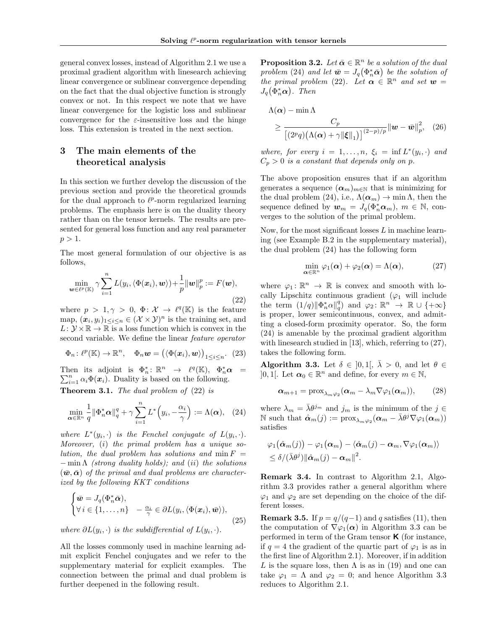general convex losses, instead of Algorithm 2.1 we use a proximal gradient algorithm with linesearch achieving linear convergence or sublinear convergence depending on the fact that the dual objective function is strongly convex or not. In this respect we note that we have linear convergence for the logistic loss and sublinear convergence for the  $\varepsilon$ -insensitive loss and the hinge loss. This extension is treated in the next section.

# 3 The main elements of the theoretical analysis

In this section we further develop the discussion of the previous section and provide the theoretical grounds for the dual approach to  $\ell^p$ -norm regularized learning problems. The emphasis here is on the duality theory rather than on the tensor kernels. The results are presented for general loss function and any real parameter  $p > 1$ .

The most general formulation of our objective is as follows,

$$
\min_{\boldsymbol{w}\in\ell^{p}(\mathbb{K})}\gamma\sum_{i=1}^{n}L(y_{i},\langle\Phi(\boldsymbol{x}_{i}),\boldsymbol{w}\rangle)+\frac{1}{p}\|\boldsymbol{w}\|_{p}^{p}:=F(\boldsymbol{w}),
$$
\n(22)

where  $p > 1, \gamma > 0, \Phi: \mathcal{X} \to \ell^q(\mathbb{K})$  is the feature map,  $(\mathbf{x}_i, y_i)_{1 \leq i \leq n} \in (\mathcal{X} \times \mathcal{Y})^n$  is the training set, and  $L: \mathcal{Y} \times \mathbb{R} \to \mathbb{R}$  is a loss function which is convex in the second variable. We define the linear *feature operator*

$$
\Phi_n\colon \ell^p(\mathbb{K}) \to \mathbb{R}^n, \quad \Phi_n \mathbf{w} = (\langle \Phi(\mathbf{x}_i), \mathbf{w} \rangle)_{1 \le i \le n}. \tag{23}
$$

Then its adjoint is  $\Phi_n^* \colon \mathbb{R}^n \to \ell^q(\mathbb{K}), \Phi_n^* \alpha = \sum_{i=1}^n \alpha_i \Phi(x_i)$ . Duality is based on the following.  $\sum_{i=1}^{n} \alpha_i \Phi(\mathbf{x}_i)$ . Duality is based on the following. Theorem 3.1. *The dual problem of* (22) *is*

$$
\min_{\alpha \in \mathbb{R}^n} \frac{1}{q} \|\Phi_n^* \alpha\|_q^q + \gamma \sum_{i=1}^n L^* \left(y_i, -\frac{\alpha_i}{\gamma}\right) := \Lambda(\alpha), \quad (24)
$$

*where*  $L^*(y_i, \cdot)$  *is the Fenchel conjugate of*  $L(y_i, \cdot)$ *. Moreover,* (*i*) *the primal problem has a unique solution, the dual problem has solutions and*  $min F =$  $-\min \Lambda$  *(strong duality holds); and (ii) the solutions*  $(\bar{w}, \bar{\alpha})$  of the primal and dual problems are character*ized by the following KKT conditions*

$$
\begin{cases} \bar{\mathbf{w}} = J_q(\Phi_n^* \bar{\mathbf{\alpha}}), \\ \forall i \in \{1, \dots, n\} \quad -\frac{\alpha_i}{\gamma} \in \partial L(y_i, \langle \Phi(\mathbf{x}_i), \bar{\mathbf{w}} \rangle), \end{cases}
$$
(25)

*where*  $\partial L(y_i, \cdot)$  *is the subdifferential of*  $L(y_i, \cdot)$ *.* 

All the losses commonly used in machine learning admit explicit Fenchel conjugates and we refer to the supplementary material for explicit examples. The connection between the primal and dual problem is further deepened in the following result.

**Proposition 3.2.** *Let*  $\bar{\boldsymbol{\alpha}} \in \mathbb{R}^n$  *be a solution of the dual problem* (24) *and let*  $\bar{w} = J_q(\Phi_n^*\bar{\alpha})$  *be the solution of the primal problem* (22)*.* Let  $\alpha \in \mathbb{R}^n$  *and set*  $w =$  $J_q(\Phi_n^*\boldsymbol{\alpha})$ . Then

$$
\Lambda(\boldsymbol{\alpha}) - \min \Lambda
$$
  
\n
$$
\geq \frac{C_p}{\left[ (2^p q) \left( \Lambda(\boldsymbol{\alpha}) + \gamma \|\boldsymbol{\xi}\|_1 \right) \right]^{(2-p)/p}} \|\boldsymbol{w} - \bar{\boldsymbol{w}}\|_p^2, \quad (26)
$$

*where, for every*  $i = 1, \ldots, n$ ,  $\xi_i = \inf L^*(y_i, \cdot)$  *and*  $C_p > 0$  *is a constant that depends only on p.* 

The above proposition ensures that if an algorithm generates a sequence  $(\alpha_m)_{m\in\mathbb{N}}$  that is minimizing for the dual problem (24), i.e.,  $\Lambda(\alpha_m) \to \min \Lambda$ , then the sequence defined by  $w_m = J_q(\Phi_n^* \alpha_m)$ ,  $m \in \mathbb{N}$ , converges to the solution of the primal problem.

Now, for the most significant losses *L* in machine learning (see Example B.2 in the supplementary material), the dual problem (24) has the following form

$$
\min_{\alpha \in \mathbb{R}^n} \varphi_1(\alpha) + \varphi_2(\alpha) = \Lambda(\alpha), \tag{27}
$$

where  $\varphi_1 : \mathbb{R}^n \to \mathbb{R}$  is convex and smooth with locally Lipschitz continuous gradient  $(\varphi_1$  will include the term  $(1/q) \|\Phi_n^*\alpha\|_q^q$  and  $\varphi_2 \colon \mathbb{R}^n \to \mathbb{R} \cup \{+\infty\}$ is proper, lower semicontinuous, convex, and admitting a closed-form proximity operator. So, the form (24) is amenable by the proximal gradient algorithm with linesearch studied in [13], which, referring to (27), takes the following form.

**Algorithm 3.3.** Let  $\delta \in [0,1], \bar{\lambda} > 0$ , and let  $\theta \in$  $]0,1[$ . Let  $\alpha_0 \in \mathbb{R}^n$  and define, for every  $m \in \mathbb{N}$ ,

$$
\boldsymbol{\alpha}_{m+1} = \text{prox}_{\lambda_m \varphi_2}(\boldsymbol{\alpha}_m - \lambda_m \nabla \varphi_1(\boldsymbol{\alpha}_m)), \qquad (28)
$$

where  $\lambda_m = \bar{\lambda} \theta^{j_m}$  and  $j_m$  is the minimum of the  $j \in$ N such that  $\hat{\boldsymbol{\alpha}}_m(j) := \text{prox}_{\lambda_m \varphi_2} (\boldsymbol{\alpha}_m - \bar{\lambda} \theta^j \nabla \varphi_1(\boldsymbol{\alpha}_m))$ satisfies

$$
\varphi_1(\hat{\boldsymbol{\alpha}}_m(j)) - \varphi_1(\boldsymbol{\alpha}_m) - \langle \hat{\boldsymbol{\alpha}}_m(j) - \boldsymbol{\alpha}_m, \nabla \varphi_1(\boldsymbol{\alpha}_m) \rangle \leq \delta/(\bar{\lambda}\theta^j) ||\hat{\boldsymbol{\alpha}}_m(j) - \boldsymbol{\alpha}_m||^2.
$$

Remark 3.4. In contrast to Algorithm 2.1, Algorithm 3.3 provides rather a general algorithm where  $\varphi_1$  and  $\varphi_2$  are set depending on the choice of the different losses.

**Remark 3.5.** If  $p = q/(q-1)$  and *q* satisfies (11), then the computation of  $\nabla \varphi_1(\alpha)$  in Algorithm 3.3 can be performed in term of the Gram tensor  $\boldsymbol{\mathsf{K}}$  (for instance, if  $q = 4$  the gradient of the quartic part of  $\varphi_1$  is as in the first line of Algorithm 2.1). Moreover, if in addition L is the square loss, then  $\Lambda$  is as in (19) and one can take  $\varphi_1 = \Lambda$  and  $\varphi_2 = 0$ ; and hence Algorithm 3.3 reduces to Algorithm 2.1.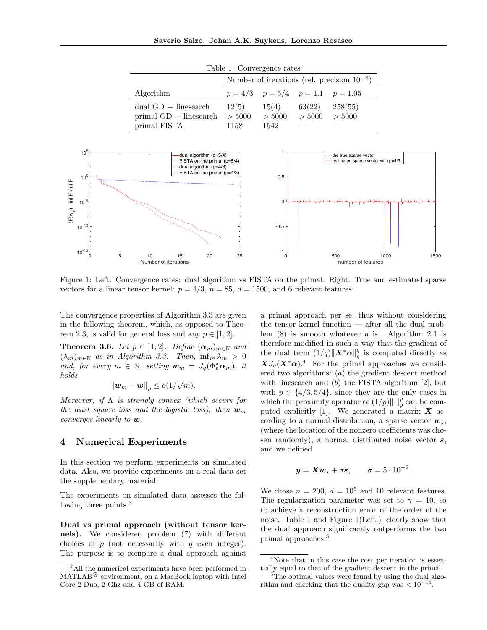| Table 1: Convergence rates    |  |
|-------------------------------|--|
| Number of iterations (rel. pr |  |

|                          | Number of iterations (rel. precision $10^{-8}$ ) |                                          |        |         |  |
|--------------------------|--------------------------------------------------|------------------------------------------|--------|---------|--|
| Algorithm                |                                                  | $p = 4/3$ $p = 5/4$ $p = 1.1$ $p = 1.05$ |        |         |  |
| dual $GD$ + linesearch   | 12(5)                                            | 15(4)                                    | 63(22) | 258(55) |  |
| $primal GD + linesearch$ | > 5000                                           | > 5000                                   | > 5000 | > 5000  |  |
| primal FISTA             | 1158                                             | 1542                                     |        |         |  |



Figure 1: Left. Convergence rates: dual algorithm vs FISTA on the primal. Right. True and estimated sparse vectors for a linear tensor kernel:  $p = 4/3$ ,  $n = 85$ ,  $d = 1500$ , and 6 relevant features.

The convergence properties of Algorithm 3.3 are given in the following theorem, which, as opposed to Theorem 2.3, is valid for general loss and any  $p \in [1, 2]$ .

**Theorem 3.6.** Let  $p \in [1,2]$ . Define  $(\alpha_m)_{m \in \mathbb{N}}$  and  $(\lambda_m)_{m \in \mathbb{N}}$  *as in Algorithm 3.3. Then,*  $\inf_m \lambda_m > 0$ *and, for every*  $m \in \mathbb{N}$ *, setting*  $\mathbf{w}_m = J_q(\Phi_n^* \mathbf{\alpha}_m)$ *, it holds*

$$
\|\boldsymbol{w}_m-\bar{\boldsymbol{w}}\|_p\leq o(1/\sqrt{m}).
$$

*Moreover, if*  $\Lambda$  *is strongly convex (which occurs for the least square loss and the logistic loss), then*  $w_m$ *converges linearly to*  $\bar{w}$ *.* 

## 4 Numerical Experiments

In this section we perform experiments on simulated data. Also, we provide experiments on a real data set the supplementary material.

The experiments on simulated data assesses the following three points.<sup>3</sup>

Dual vs primal approach (without tensor kernels). We considered problem (7) with different choices of *p* (not necessarily with *q* even integer). The purpose is to compare a dual approach against

a primal approach per se, thus without considering the tensor kernel function — after all the dual problem (8) is smooth whatever *q* is. Algorithm 2.1 is therefore modified in such a way that the gradient of the dual term  $(1/q)$   $\|\boldsymbol{X}^*\boldsymbol{\alpha}\|_q^q$  is computed directly as  $XJ_q(X^*\alpha)$ .<sup>4</sup> For the primal approaches we considered two algorithms: (*a*) the gradient descent method with linesearch and (*b*) the FISTA algorithm [2], but with  $p \in \{4/3, 5/4\}$ , since they are the only cases in which the proximity operator of  $(1/p)\|\cdot\|_p^p$  can be computed explicitly [1]. We generated a matrix *X* according to a normal distribution, a sparse vector  $w_{\star}$ , (where the location of the nonzero coefficients was chosen randomly), a normal distributed noise vector  $\varepsilon$ , and we defined

$$
y = X w_{\star} + \sigma \varepsilon
$$
,  $\sigma = 5 \cdot 10^{-2}$ .

We chose  $n = 200$ ,  $d = 10^5$  and 10 relevant features. The regularization parameter was set to  $\gamma = 10$ , so to achieve a reconstruction error of the order of the noise. Table 1 and Figure 1(Left.) clearly show that the dual approach significantly outperforms the two primal approaches.<sup>5</sup>

<sup>&</sup>lt;sup>3</sup>All the numerical experiments have been performed in MATLAB<sup>®</sup> environment, on a MacBook laptop with Intel Core 2 Duo, 2 Ghz and 4 GB of RAM.

<sup>4</sup>Note that in this case the cost per iteration is essentially equal to that of the gradient descent in the primal.

<sup>&</sup>lt;sup>5</sup>The optimal values were found by using the dual algorithm and checking that the duality gap was  $\lt 10^{-14}$ .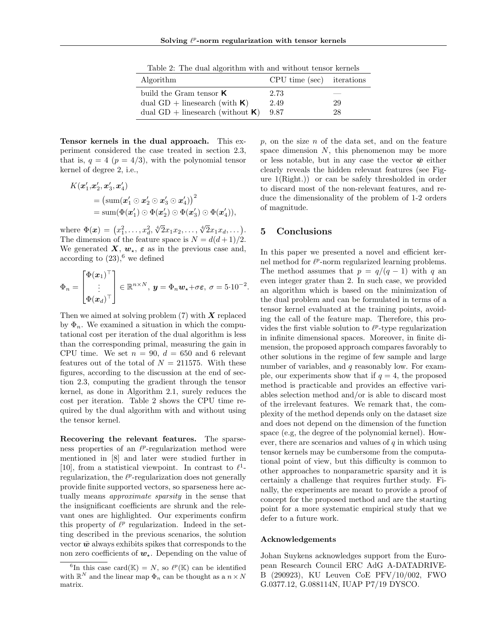Table 2: The dual algorithm with and without tensor kernels

| Algorithm                              | $CPU time (sec)$ iterations |    |
|----------------------------------------|-----------------------------|----|
| build the Gram tensor $\boldsymbol{K}$ | 2.73                        |    |
| dual $GD$ + linesearch (with $K$ )     | 2.49                        | 29 |
| dual $GD$ + linesearch (without $K$ )  | 9.87                        | 28 |

Tensor kernels in the dual approach. This experiment considered the case treated in section 2.3, that is,  $q = 4$  ( $p = 4/3$ ), with the polynomial tensor kernel of degree 2, i.e.,

$$
K(\boldsymbol{x}_1', \boldsymbol{x}_2', \boldsymbol{x}_3', \boldsymbol{x}_4') = (\text{sum}(\boldsymbol{x}_1' \odot \boldsymbol{x}_2' \odot \boldsymbol{x}_3' \odot \boldsymbol{x}_4'))^2
$$
  
= 
$$
\text{sum}(\Phi(\boldsymbol{x}_1') \odot \Phi(\boldsymbol{x}_2') \odot \Phi(\boldsymbol{x}_3') \odot \Phi(\boldsymbol{x}_4')),
$$

where  $\Phi(\mathbf{x}) = (x_1^2, \ldots, x_d^2, \sqrt[4]{2x_1x_2}, \ldots, \sqrt[4]{2x_1x_d}, \ldots).$ The dimension of the feature space is  $N = d(d+1)/2$ . We generated  $\boldsymbol{X}, \boldsymbol{w}_{\star}, \boldsymbol{\varepsilon}$  as in the previous case and, according to  $(23)$ , <sup>6</sup> we defined

$$
\Phi_n = \begin{bmatrix} \Phi(\boldsymbol{x}_1)^\top \\ \vdots \\ \Phi(\boldsymbol{x}_d)^\top \end{bmatrix} \in \mathbb{R}^{n \times N}, \ \boldsymbol{y} = \Phi_n \boldsymbol{w}_\star + \sigma \boldsymbol{\varepsilon}, \ \sigma = 5 \cdot 10^{-2}.
$$

Then we aimed at solving problem (7) with *X* replaced by  $\Phi_n$ . We examined a situation in which the computational cost per iteration of the dual algorithm is less than the corresponding primal, measuring the gain in CPU time. We set  $n = 90$ ,  $d = 650$  and 6 relevant features out of the total of  $N = 211575$ . With these figures, according to the discussion at the end of section 2.3, computing the gradient through the tensor kernel, as done in Algorithm 2.1, surely reduces the cost per iteration. Table 2 shows the CPU time required by the dual algorithm with and without using the tensor kernel.

Recovering the relevant features. The sparseness properties of an  $\ell^p$ -regularization method were mentioned in [8] and later were studied further in [10], from a statistical viewpoint. In contrast to  $\ell^1$ regularization, the  $\ell^p$ -regularization does not generally provide finite supported vectors, so sparseness here actually means *approximate sparsity* in the sense that the insignificant coefficients are shrunk and the relevant ones are highlighted. Our experiments confirm this property of  $\ell^p$  regularization. Indeed in the setting described in the previous scenarios, the solution vector  $\bar{w}$  always exhibits spikes that corresponds to the non zero coefficients of  $w_*$ . Depending on the value of *p*, on the size *n* of the data set, and on the feature space dimension *N*, this phenomenon may be more or less notable, but in any case the vector  $\bar{w}$  either clearly reveals the hidden relevant features (see Figure 1(Right.)) or can be safely thresholded in order to discard most of the non-relevant features, and reduce the dimensionality of the problem of 1-2 orders of magnitude.

# 5 Conclusions

In this paper we presented a novel and efficient kernel method for  $\ell^p$ -norm regularized learning problems. The method assumes that  $p = q/(q-1)$  with q an even integer grater than 2. In such case, we provided an algorithm which is based on the minimization of the dual problem and can be formulated in terms of a tensor kernel evaluated at the training points, avoiding the call of the feature map. Therefore, this provides the first viable solution to  $\ell^p$ -type regularization in infinite dimensional spaces. Moreover, in finite dimension, the proposed approach compares favorably to other solutions in the regime of few sample and large number of variables, and *q* reasonably low. For example, our experiments show that if  $q = 4$ , the proposed method is practicable and provides an effective variables selection method and/or is able to discard most of the irrelevant features. We remark that, the complexity of the method depends only on the dataset size and does not depend on the dimension of the function space (e.g, the degree of the polynomial kernel). However, there are scenarios and values of *q* in which using tensor kernels may be cumbersome from the computational point of view, but this difficulty is common to other approaches to nonparametric sparsity and it is certainly a challenge that requires further study. Finally, the experiments are meant to provide a proof of concept for the proposed method and are the starting point for a more systematic empirical study that we defer to a future work.

#### Acknowledgements

Johan Suykens acknowledges support from the European Research Council ERC AdG A-DATADRIVE-B (290923), KU Leuven CoE PFV/10/002, FWO G.0377.12, G.088114N, IUAP P7/19 DYSCO.

<sup>&</sup>lt;sup>6</sup>In this case card( $\mathbb{K}$ ) = *N*, so  $\ell^p(\mathbb{K})$  can be identified with  $\mathbb{R}^N$  and the linear map  $\Phi_n$  can be thought as a  $n \times N$ matrix.